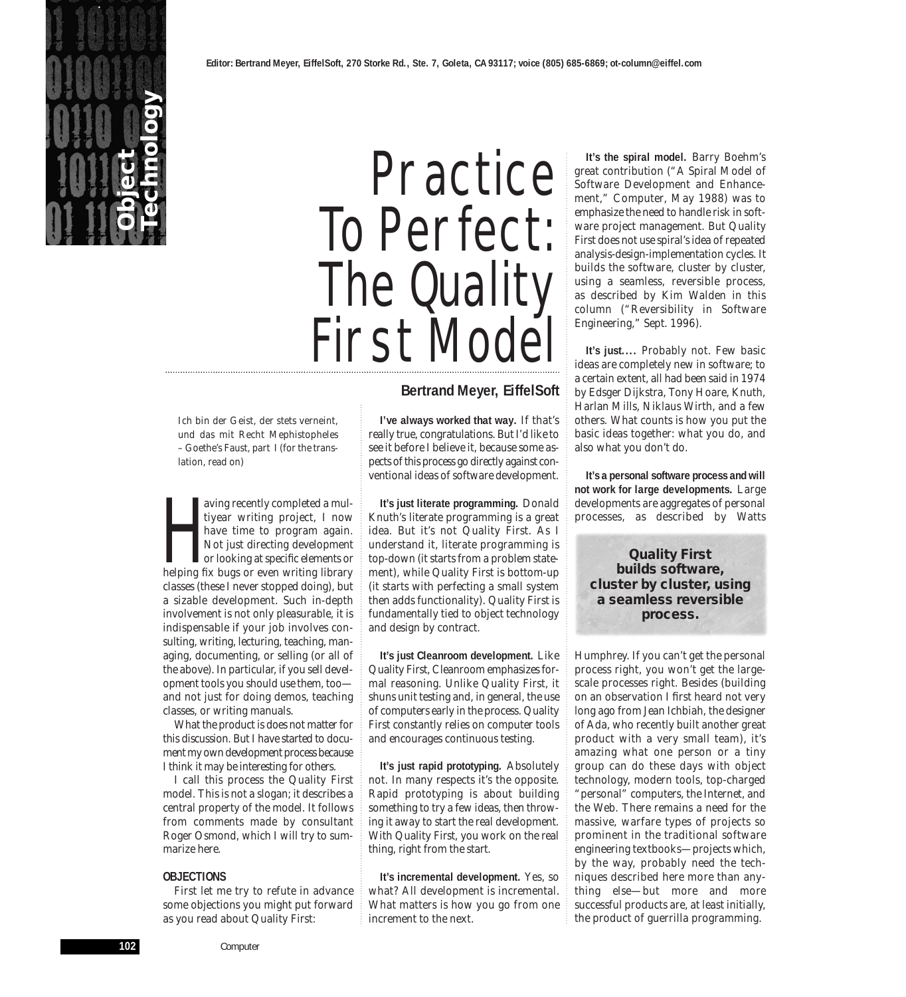

# **Practice** To Perfect: The Quality First Model

*Ich bin der Geist, der stets verneint, und das mit Recht Mephistopheles* – Goethe's *Faust*, part I (for the translation, read on)

**102** Computer Controllary Computer Controllary Computer Controllary Computer Controllary Computer Controllary Controllary Controllary Controllary Controllary Controllary Controllary Controllary Controllary Controllary Con aving recently completed a multiyear writing project, I now have time to program again.<br>Not just directing development or looking at specific elements or helping fix bugs or even writing library aving recently completed a multiyear writing project, I now have time to program again. Not just directing development or looking at specific elements or classes (these I never stopped doing), but a sizable development. Such in-depth involvement is not only pleasurable, it is indispensable if your job involves consulting, writing, lecturing, teaching, managing, documenting, or selling (or all of the above). In particular, if you sell development tools you should use them, too and not just for doing demos, teaching classes, or writing manuals.

What the product is does not matter for this discussion. But I have started to document my own development process because I think it may be interesting for others.

I call this process the Quality First model. This is not a slogan; it describes a central property of the model. It follows from comments made by consultant Roger Osmond, which I will try to summarize here.

#### **OBJECTIONS**

First let me try to refute in advance some objections you might put forward as you read about Quality First:

## **Bertrand Meyer, EiffelSoft**

**I've always worked that way.** If that's really true, congratulations. But I'd like to see it before I believe it, because some aspects of this process go directly against conventional ideas of software development.

**It's just literate programming.** Donald Knuth's literate programming is a great idea. But it's not Quality First. As I understand it, literate programming is top-down (it starts from a problem statement), while Quality First is bottom-up (it starts with perfecting a small system then adds functionality). Quality First is fundamentally tied to object technology and design by contract.

**It's just Cleanroom development.** Like Quality First, Cleanroom emphasizes formal reasoning. Unlike Quality First, it shuns unit testing and, in general, the use of computers early in the process. Quality First constantly relies on computer tools and encourages continuous testing.

**It's just rapid prototyping.** Absolutely not. In many respects it's the opposite. Rapid prototyping is about building something to try a few ideas, then throwing it away to start the real development. With Quality First, you work on the real thing, right from the start.

**It's incremental development.** Yes, so what? All development is incremental. What matters is how you go from one increment to the next.

**It's the spiral model.** Barry Boehm's great contribution ("A Spiral Model of Software Development and Enhancement," *Computer*, May 1988) was to emphasize the need to handle risk in software project management. But Quality First does not use spiral's idea of repeated analysis-design-implementation cycles. It builds the software, cluster by cluster, using a seamless, reversible process, as described by Kim Walden in this column ("Reversibility in Software Engineering," Sept. 1996).

**It's just....** Probably not. Few basic ideas are completely new in software; to a certain extent, all had been said in 1974 by Edsger Dijkstra, Tony Hoare, Knuth, Harlan Mills, Niklaus Wirth, and a few others. What counts is how you put the basic ideas together: what you do, and also what you don't do.

**It's a personal software process and will not work for large developments.** Large developments are aggregates of personal processes, as described by Watts

**Quality First builds software, cluster by cluster, using a seamless reversible process.**

Humphrey. If you can't get the personal process right, you won't get the largescale processes right. Besides (building on an observation I first heard not very long ago from Jean Ichbiah, the designer of Ada, who recently built another great product with a very small team), it's amazing what one person or a tiny group can do these days with object technology, modern tools, top-charged "personal" computers, the Internet, and the Web. There remains a need for the massive, warfare types of projects so prominent in the traditional software engineering textbooks—projects which, by the way, probably need the techniques described here more than anything else—but more and more successful products are, at least initially, the product of guerrilla programming.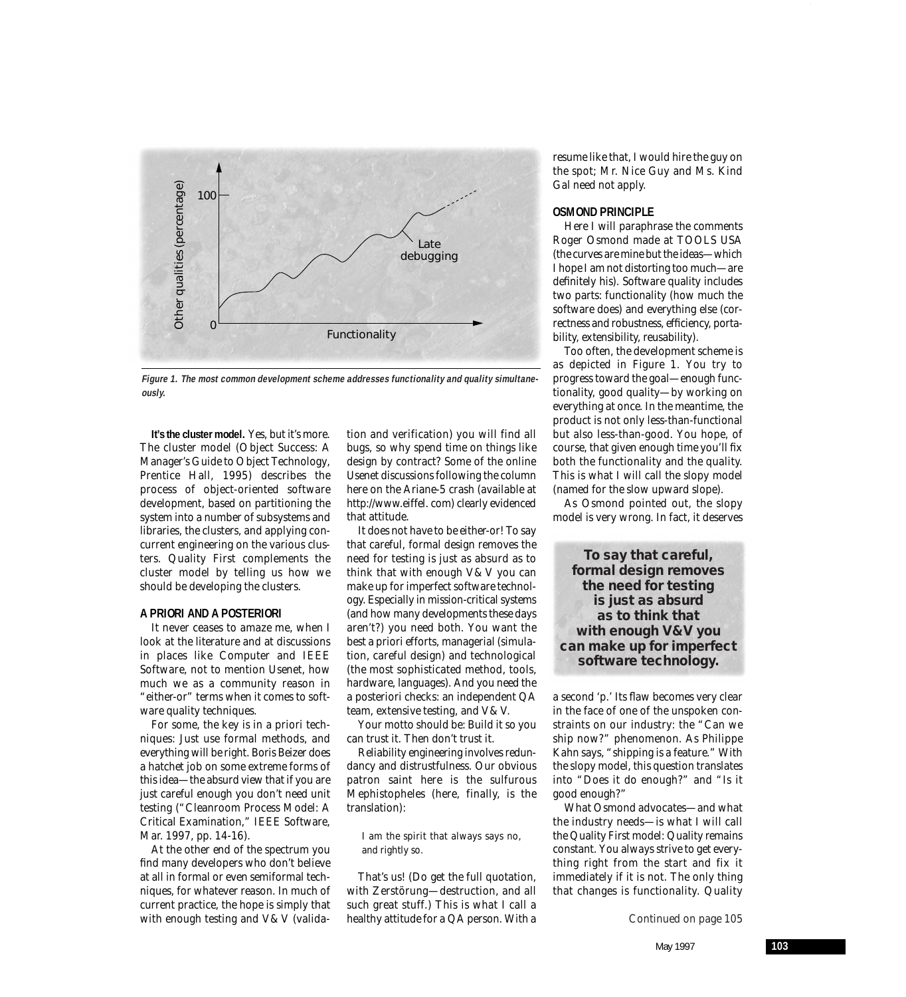

**Figure 1. The most common development scheme addresses functionality and quality simultaneously.**

**It's the cluster model.** Yes, but it's more. The cluster model (*Object Success: A Manager's Guide to Object Technology*, Prentice Hall, 1995) describes the process of object-oriented software development, based on partitioning the system into a number of subsystems and libraries, the clusters, and applying concurrent engineering on the various clusters. Quality First complements the cluster model by telling us how we should be developing the clusters.

#### **A PRIORI AND A POSTERIORI**

It never ceases to amaze me, when I look at the literature and at discussions in places like *Computer* and *IEEE Software*, not to mention Usenet, how much we as a community reason in "either-or" terms when it comes to software quality techniques.

For some, the key is in a priori techniques: Just use formal methods, and everything will be right. Boris Beizer does a hatchet job on some extreme forms of this idea—the absurd view that if you are just careful enough you don't need unit testing ("Cleanroom Process Model: A Critical Examination," *IEEE Software*, Mar. 1997, pp. 14-16).

At the other end of the spectrum you find many developers who don't believe at all in formal or even semiformal techniques, for whatever reason. In much of current practice, the hope is simply that with enough testing and V&V (valida-

tion and verification) you will find all bugs, so why spend time on things like design by contract? Some of the online Usenet discussions following the column here on the Ariane-5 crash (available at http://www.eiffel. com) clearly evidenced that attitude.

It does not have to be either-or! To say that careful, formal design removes the need for testing is just as absurd as to think that with enough V&V you can make up for imperfect software technology. Especially in mission-critical systems (and how many developments these days aren't?) you need both. You want the best a priori efforts, managerial (simulation, careful design) and technological (the most sophisticated method, tools, hardware, languages). *And* you need the a posteriori checks: an independent QA team, extensive testing, and V&V.

Your motto should be: Build it so you can trust it. Then don't trust it.

Reliability engineering involves redundancy and distrustfulness. Our obvious patron saint here is the sulfurous Mephistopheles (here, finally, is the translation):

I am the spirit that always says no, and rightly so.

That's us! (Do get the full quotation, with *Zerstörung—*destruction, and all such great stuff.) This is what I call a healthy attitude for a QA person. With a resume like that, I would hire the guy on the spot; Mr. Nice Guy and Ms. Kind Gal need not apply.

#### **OSMOND PRINCIPLE**

Here I will paraphrase the comments Roger Osmond made at TOOLS USA (the curves are mine but the ideas—which I hope I am not distorting too much—are definitely his). Software quality includes two parts: functionality (how much the software does) and everything else (correctness and robustness, efficiency, portability, extensibility, reusability).

Too often, the development scheme is as depicted in Figure 1. You try to progress toward the goal—enough functionality, good quality—by working on everything at once. In the meantime, the product is not only less-than-functional but also less-than-good. You hope, of course, that given enough time you'll fix both the functionality and the quality. This is what I will call the slopy model (named for the slow upward slope).

As Osmond pointed out, the slopy model is very wrong. In fact, it deserves

**To say that careful, formal design removes the need for testing is just as absurd as to think that with enough V&V you can make up for imperfect software technology.** 

a second 'p.' Its flaw becomes very clear in the face of one of the unspoken constraints on our industry: the "Can we ship now?" phenomenon. As Philippe Kahn says, "shipping is a feature." With the slopy model, this question translates into "Does it do enough?" and "Is it good enough?"

What Osmond advocates—and what the industry needs—is what I will call the Quality First model: Quality remains constant. You always strive to get everything right from the start and fix it immediately if it is not. The only thing that changes is functionality. Quality

*Continued on page 105*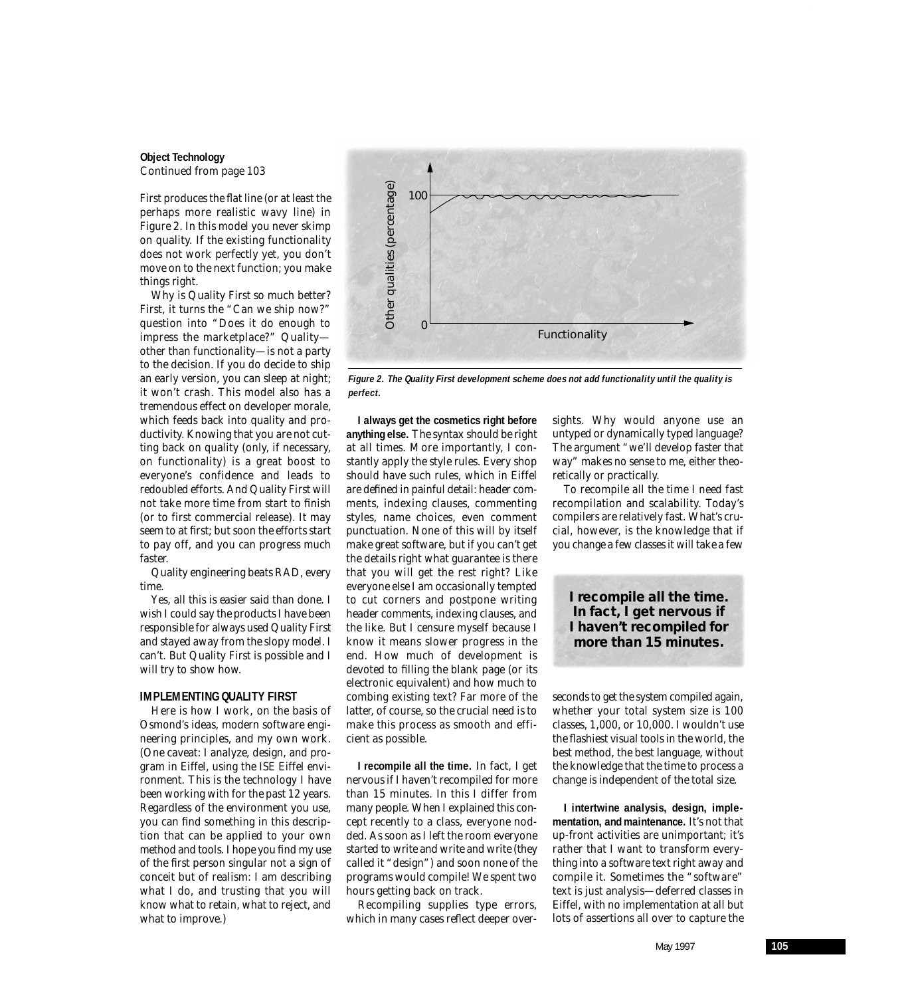### **Object Technology** *Continued from page 103*

First produces the flat line (or at least the perhaps more realistic wavy line) in Figure 2. In this model you never skimp on quality. If the existing functionality does not work perfectly yet, you don't move on to the next function; you make things right.

Why is Quality First so much better? First, it turns the "Can we ship now?" question into "Does it do enough to impress the marketplace?" Quality other than functionality—is *not* a party to the decision. If you do decide to ship an early version, you can sleep at night; it won't crash. This model also has a tremendous effect on developer morale, which feeds back into quality and productivity. Knowing that you are not cutting back on quality (only, if necessary, on functionality) is a great boost to everyone's confidence and leads to redoubled efforts. And Quality First will not take more time from start to finish (or to first commercial release). It may seem to at first; but soon the efforts start to pay off, and you can progress much faster.

Quality engineering beats RAD, every time.

Yes, all this is easier said than done. I wish I could say the products I have been responsible for always used Quality First and stayed away from the slopy model. I can't. But Quality First is possible and I will try to show how.

### **IMPLEMENTING QUALITY FIRST**

Here is how I work, on the basis of Osmond's ideas, modern software engineering principles, and my own work. (One caveat: I analyze, design, and program in Eiffel, using the ISE Eiffel environment. This is the technology I have been working with for the past 12 years. Regardless of the environment you use, you can find something in this description that can be applied to your own method and tools. I hope you find my use of the first person singular not a sign of conceit but of realism: I am describing what I do, and trusting that you will know what to retain, what to reject, and what to improve.)



**Figure 2. The Quality First development scheme does not add functionality until the quality is perfect.**

**I always get the cosmetics right before anything else.** The syntax should be right at all times. More importantly, I constantly apply the style rules. Every shop should have such rules, which in Eiffel are defined in painful detail: header comments, indexing clauses, commenting styles, name choices, even comment punctuation. None of this will by itself make great software, but if you can't get the details right what guarantee is there that you will get the rest right? Like everyone else I am occasionally tempted to cut corners and postpone writing header comments, indexing clauses, and the like. But I censure myself because I know it means *slower* progress in the end. How much of development is devoted to filling the blank page (or its electronic equivalent) and how much to combing existing text? Far more of the latter, of course, so the crucial need is to make this process as smooth and efficient as possible.

**I recompile all the time.** In fact, I get nervous if I haven't recompiled for more than 15 minutes. In this I differ from many people. When I explained this concept recently to a class, everyone nodded. As soon as I left the room everyone started to write and write and write (they called it "design") and soon none of the programs would compile! We spent two hours getting back on track.

Recompiling supplies type errors, which in many cases reflect deeper oversights. Why would anyone use an untyped or dynamically typed language? The argument "we'll develop faster that way" makes no sense to me, either theoretically or practically.

To recompile all the time I need fast recompilation and scalability. Today's compilers are relatively fast. What's crucial, however, is the knowledge that if you change a few classes it will take a few

## **I recompile all the time. In fact, I get nervous if I haven't recompiled for more than 15 minutes.**

seconds to get the system compiled again, whether your total system size is 100 classes, 1,000, or 10,000. I wouldn't use the flashiest visual tools in the world, the best method, the best language, without the knowledge that the time to process a change is independent of the total size.

**I intertwine analysis, design, implementation, and maintenance.** It's not that up-front activities are unimportant; it's rather that I want to transform everything into a software text right away and compile it. Sometimes the "software" text is just analysis—deferred classes in Eiffel, with no implementation at all but lots of assertions all over to capture the